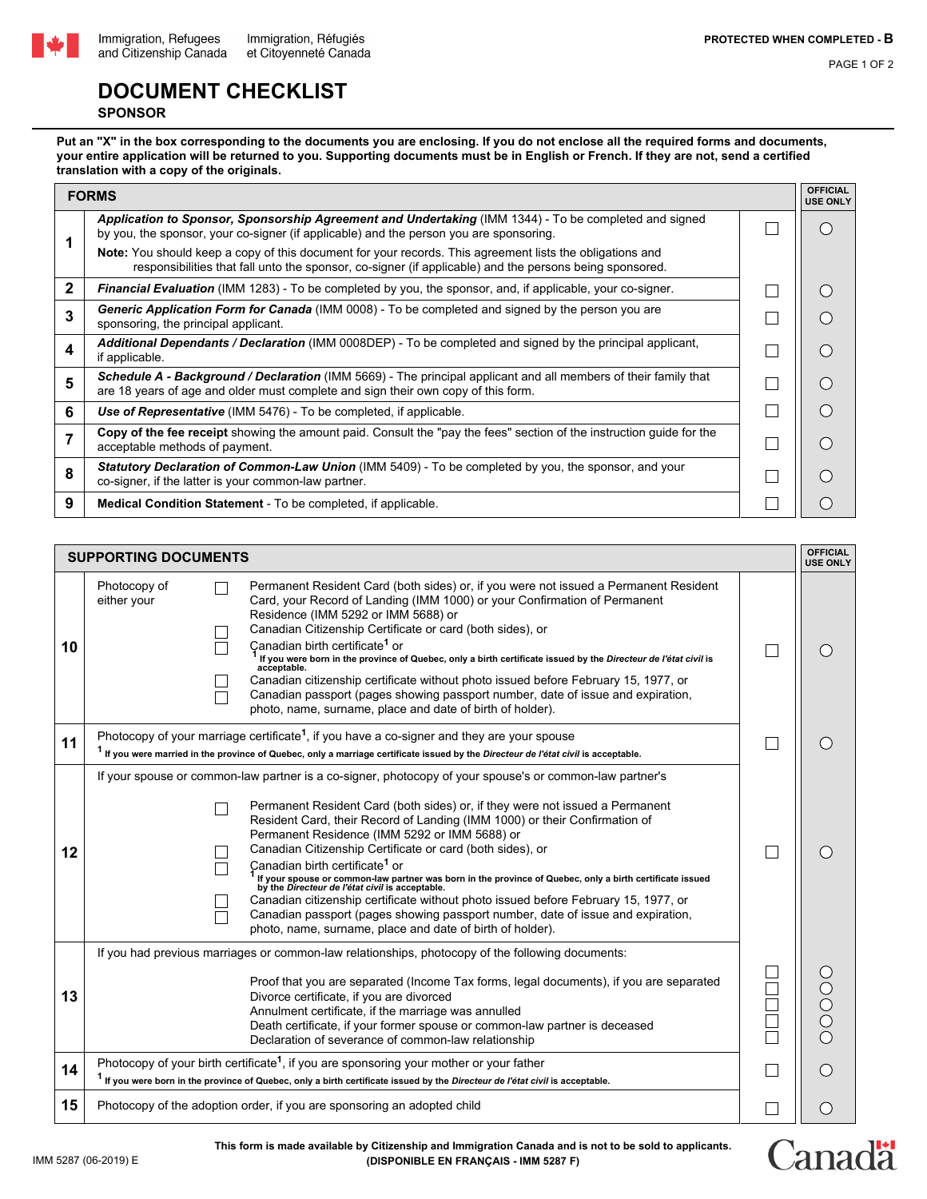

PAGE 1 OF 2

## **DOCUMENT CHECKLIST**

## **SPONSOR**

**Put an "X" in the box corresponding to the documents you are enclosing. If you do not enclose all the required forms and documents, your entire application will be returned to you. Supporting documents must be in English or French. If they are not, send a certified translation with a copy of the originals.**

|              | <b>FORMS</b>                                                                                                                                                                                                               |  |  |
|--------------|----------------------------------------------------------------------------------------------------------------------------------------------------------------------------------------------------------------------------|--|--|
|              | Application to Sponsor, Sponsorship Agreement and Undertaking (IMM 1344) - To be completed and signed<br>by you, the sponsor, your co-signer (if applicable) and the person you are sponsoring.                            |  |  |
|              | <b>Note:</b> You should keep a copy of this document for your records. This agreement lists the obligations and<br>responsibilities that fall unto the sponsor, co-signer (if applicable) and the persons being sponsored. |  |  |
| $\mathbf{2}$ | <b>Financial Evaluation</b> (IMM 1283) - To be completed by you, the sponsor, and, if applicable, your co-signer.                                                                                                          |  |  |
| 3            | <b>Generic Application Form for Canada</b> (IMM 0008) - To be completed and signed by the person you are<br>sponsoring, the principal applicant.                                                                           |  |  |
| 4            | Additional Dependants / Declaration (IMM 0008DEP) - To be completed and signed by the principal applicant,<br>if applicable.                                                                                               |  |  |
| 5            | Schedule A - Background / Declaration (IMM 5669) - The principal applicant and all members of their family that<br>are 18 years of age and older must complete and sign their own copy of this form.                       |  |  |
| 6            | Use of Representative (IMM 5476) - To be completed, if applicable.                                                                                                                                                         |  |  |
|              | Copy of the fee receipt showing the amount paid. Consult the "pay the fees" section of the instruction guide for the<br>acceptable methods of payment.                                                                     |  |  |
| 8            | Statutory Declaration of Common-Law Union (IMM 5409) - To be completed by you, the sponsor, and your<br>co-signer, if the latter is your common-law partner.                                                               |  |  |
| 9            | <b>Medical Condition Statement</b> - To be completed, if applicable.                                                                                                                                                       |  |  |

| <b>SUPPORTING DOCUMENTS</b> |                                                                                                                                                                                                                                                                                                                                                                                                                                                                                                                                                                                                                                                                                                                                                                                                                                        |  |                                                 |  |
|-----------------------------|----------------------------------------------------------------------------------------------------------------------------------------------------------------------------------------------------------------------------------------------------------------------------------------------------------------------------------------------------------------------------------------------------------------------------------------------------------------------------------------------------------------------------------------------------------------------------------------------------------------------------------------------------------------------------------------------------------------------------------------------------------------------------------------------------------------------------------------|--|-------------------------------------------------|--|
| 10                          | Permanent Resident Card (both sides) or, if you were not issued a Permanent Resident<br>Photocopy of<br>Card, your Record of Landing (IMM 1000) or your Confirmation of Permanent<br>either your<br>Residence (IMM 5292 or IMM 5688) or<br>Canadian Citizenship Certificate or card (both sides), or<br>Canadian birth certificate <sup>1</sup> or<br>$^1$ If you were born in the province of Quebec, only a birth certificate issued by the <i>Directeur de l'état civil</i> is<br>acceptable.<br>Canadian citizenship certificate without photo issued before February 15, 1977, or<br>Canadian passport (pages showing passport number, date of issue and expiration,<br>photo, name, surname, place and date of birth of holder).                                                                                                 |  | $\bigcirc$                                      |  |
| 11                          | Photocopy of your marriage certificate <sup>1</sup> , if you have a co-signer and they are your spouse<br><sup>1</sup> If you were married in the province of Quebec, only a marriage certificate issued by the Directeur de l'état civil is acceptable.                                                                                                                                                                                                                                                                                                                                                                                                                                                                                                                                                                               |  | $\left( \right)$                                |  |
| 12                          | If your spouse or common-law partner is a co-signer, photocopy of your spouse's or common-law partner's<br>Permanent Resident Card (both sides) or, if they were not issued a Permanent<br>Resident Card, their Record of Landing (IMM 1000) or their Confirmation of<br>Permanent Residence (IMM 5292 or IMM 5688) or<br>Canadian Citizenship Certificate or card (both sides), or<br>Canadian birth certificate <sup>1</sup> or<br>If your spouse or common-law partner was born in the province of Quebec, only a birth certificate issued<br>by the Directeur de l'état civil is acceptable.<br>Canadian citizenship certificate without photo issued before February 15, 1977, or<br>Canadian passport (pages showing passport number, date of issue and expiration,<br>photo, name, surname, place and date of birth of holder). |  | $\bigcirc$                                      |  |
| 13                          | If you had previous marriages or common-law relationships, photocopy of the following documents:<br>Proof that you are separated (Income Tax forms, legal documents), if you are separated<br>Divorce certificate, if you are divorced<br>Annulment certificate, if the marriage was annulled<br>Death certificate, if your former spouse or common-law partner is deceased<br>Declaration of severance of common-law relationship                                                                                                                                                                                                                                                                                                                                                                                                     |  | $\bigcirc$<br>OOO                               |  |
| 14                          | Photocopy of your birth certificate <sup>1</sup> , if you are sponsoring your mother or your father<br><sup>1</sup> If you were born in the province of Quebec, only a birth certificate issued by the Directeur de l'état civil is acceptable.                                                                                                                                                                                                                                                                                                                                                                                                                                                                                                                                                                                        |  | $\left( \begin{array}{c} 1 \end{array} \right)$ |  |
| 15                          | Photocopy of the adoption order, if you are sponsoring an adopted child                                                                                                                                                                                                                                                                                                                                                                                                                                                                                                                                                                                                                                                                                                                                                                |  | $\left( \quad \right)$                          |  |